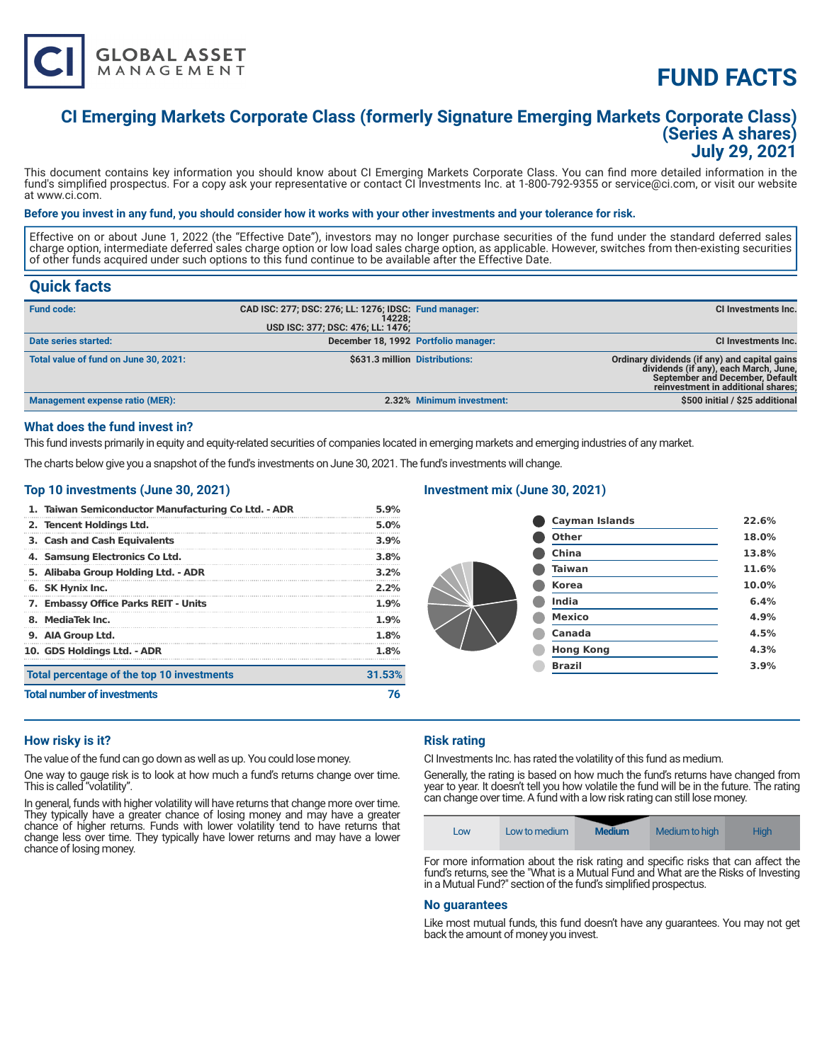

# **FUND FACTS**

### **CI Emerging Markets Corporate Class (formerly Signature Emerging Markets Corporate Class) (Series A shares) July 29, 2021**

This document contains key information you should know about CI Emerging Markets Corporate Class. You can find more detailed information in the fund's simplified prospectus. For a copy ask your representative or contact CI Investments Inc. at 1-800-792-9355 or service@ci.com, or visit our website at www.ci.com.

#### **Before you invest in any fund, you should consider how it works with your other investments and your tolerance for risk.**

Effective on or about June 1, 2022 (the "Effective Date"), investors may no longer purchase securities of the fund under the standard deferred sales charge option, intermediate deferred sales charge option or low load sales charge option, as applicable. However, switches from then-existing securities of other funds acquired under such options to this fund continue to be available after the Effective Date.

### **Quick facts**

| <b>Fund code:</b>                     | CAD ISC: 277; DSC: 276; LL: 1276; IDSC: Fund manager:<br>14228:<br>USD ISC: 377; DSC: 476; LL: 1476; |                           | CI Investments Inc.                                                                                                                                             |
|---------------------------------------|------------------------------------------------------------------------------------------------------|---------------------------|-----------------------------------------------------------------------------------------------------------------------------------------------------------------|
| Date series started:                  | December 18, 1992 Portfolio manager:                                                                 |                           | <b>CI Investments Inc.</b>                                                                                                                                      |
| Total value of fund on June 30, 2021: | \$631.3 million Distributions:                                                                       |                           | Ordinary dividends (if any) and capital gains<br>dividends (if any), each March, June,<br>September and December, Default<br>reinvestment in additional shares; |
| Management expense ratio (MER):       |                                                                                                      | 2.32% Minimum investment: | \$500 initial / \$25 additional                                                                                                                                 |

#### **What does the fund invest in?**

This fund invests primarily in equity and equity-related securities of companies located in emerging markets and emerging industries of any market.

The charts below give you a snapshot of the fund's investments on June 30, 2021. The fund's investments will change.

#### **Top 10 investments (June 30, 2021)**

| 1. Taiwan Semiconductor Manufacturing Co Ltd. - ADR | 5.9%    |
|-----------------------------------------------------|---------|
| 2. Tencent Holdings Ltd.                            | $5.0\%$ |
| 3. Cash and Cash Equivalents                        | 3.9%    |
| 4. Samsung Electronics Co Ltd.                      | 3.8%    |
| 5. Alibaba Group Holding Ltd. - ADR                 | 3.2%    |
| 6. SK Hynix Inc.                                    | 2.2%    |
| 7. Embassy Office Parks REIT - Units                | 1.9%    |
| 8. MediaTek Inc.                                    | $1.9\%$ |
| 9. AIA Group Ltd.                                   | 1.8%    |
| 10. GDS Holdings Ltd. - ADR                         | 1.8%    |
| Total percentage of the top 10 investments          | 31.53%  |
| <b>Total number of investments</b>                  |         |

#### **Investment mix (June 30, 2021)**

| <b>Cayman Islands</b> | 22.6% |
|-----------------------|-------|
| <b>Other</b>          | 18.0% |
| China                 | 13.8% |
| <b>Taiwan</b>         | 11.6% |
| <b>Korea</b>          | 10.0% |
| India                 | 6.4%  |
| <b>Mexico</b>         | 4.9%  |
| Canada                | 4.5%  |
| <b>Hong Kong</b>      | 4.3%  |
| <b>Brazil</b>         | 3.9%  |
|                       |       |

#### **How risky is it?**

The value of the fund can go down as well as up. You could lose money.

One way to gauge risk is to look at how much a fund's returns change over time. This is called "volatility".

In general, funds with higher volatility will have returns that change more over time. They typically have a greater chance of losing money and may have a greater chance of higher returns. Funds with lower volatility tend to have returns that change less over time. They typically have lower returns and may have a lower chance of losing money.

#### **Risk rating**

CI Investments Inc. has rated the volatility of this fund as medium.

Generally, the rating is based on how much the fund's returns have changed from year to year. It doesn't tell you how volatile the fund will be in the future. The rating can change over time. A fund with a low risk rating can still lose money.



For more information about the risk rating and specific risks that can affect the fund's returns, see the "What is a Mutual Fund and What are the Risks of Investing in a Mutual Fund?" section of the fund's simplified prospectus.

#### **No guarantees**

Like most mutual funds, this fund doesn't have any guarantees. You may not get back the amount of money you invest.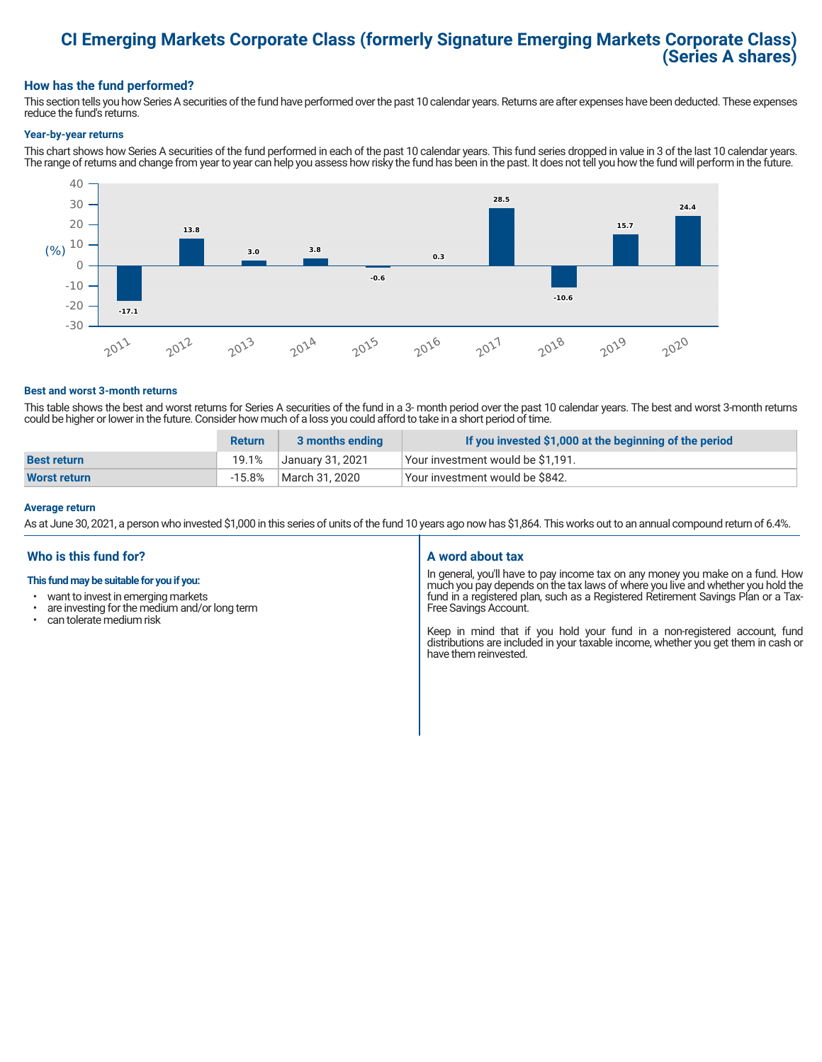## **CI Emerging Markets Corporate Class (formerly Signature Emerging Markets Corporate Class) (Series A shares)**

#### **How has the fund performed?**

This section tells you how Series A securities of the fund have performed over the past 10 calendar years. Returns are after expenses have been deducted. These expenses reduce the fund's returns.

#### **Year-by-year returns**

This chart shows how Series A securities of the fund performed in each of the past 10 calendar years. This fund series dropped in value in 3 of the last 10 calendar years. The range of returns and change from year to year can help you assess how risky the fund has been in the past. It does not tell you how the fund will perform in the future.



#### **Best and worst 3-month returns**

This table shows the best and worst returns for Series A securities of the fund in a 3- month period over the past 10 calendar years. The best and worst 3-month returns could be higher or lower in the future. Consider how much of a loss you could afford to take in a short period of time.

|                     | <b>Return</b> | 3 months ending  | If you invested \$1,000 at the beginning of the period |
|---------------------|---------------|------------------|--------------------------------------------------------|
| <b>Best return</b>  | 19.1%         | January 31, 2021 | Vour investment would be \$1,191.                      |
| <b>Worst return</b> | $-15.8\%$     | March 31, 2020   | Your investment would be \$842.                        |

#### **Average return**

As at June 30, 2021, a person who invested \$1,000 in this series of units of the fund 10 years ago now has \$1,864. This works out to an annual compound return of 6.4%.

#### **Who is this fund for?**

#### **This fund may be suitable for you if you:**

- want to invest in emerging markets
- $\cdot$  are investing for the medium and/or long term  $\cdot$  can telerate medium risk
- can tolerate medium risk

#### **A word about tax**

In general, you'll have to pay income tax on any money you make on a fund. How much you pay depends on the tax laws of where you live and whether you hold the fund in a registered plan, such as a Registered Retirement Savings Plan or a Tax-Free Savings Account.

Keep in mind that if you hold your fund in a non-registered account, fund distributions are included in your taxable income, whether you get them in cash or have them reinvested.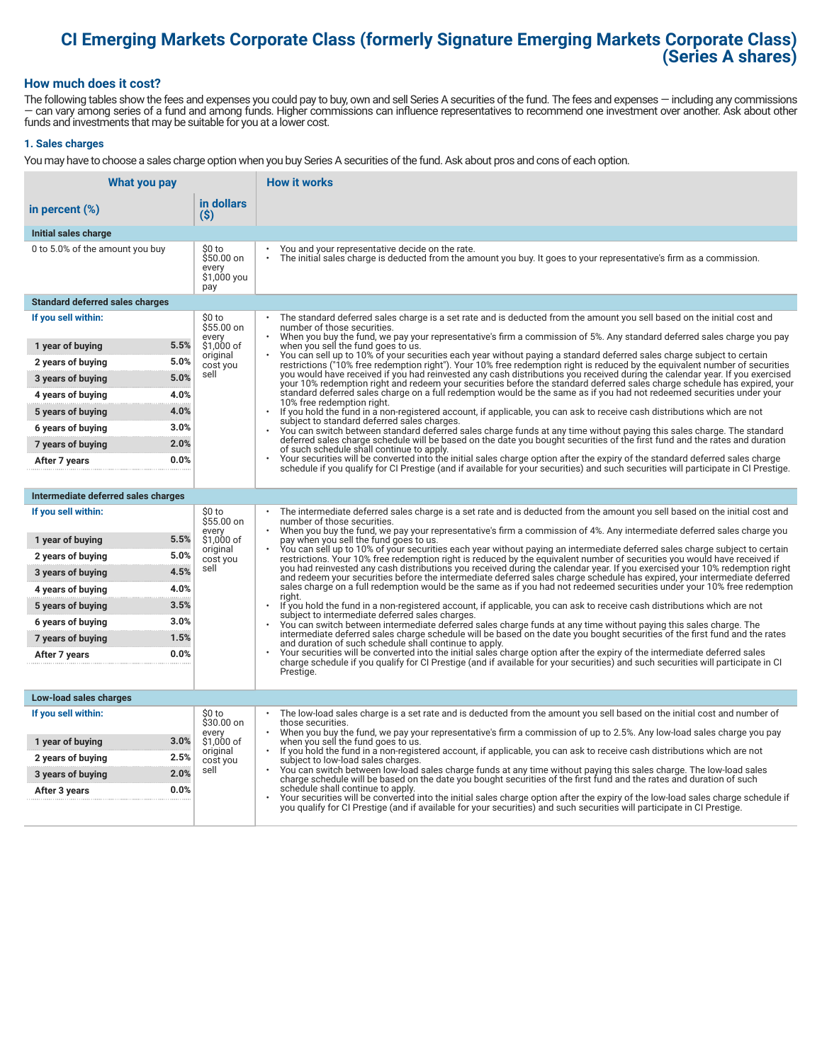## **CI Emerging Markets Corporate Class (formerly Signature Emerging Markets Corporate Class) (Series A shares)**

#### **How much does it cost?**

The following tables show the fees and expenses you could pay to buy, own and sell Series A securities of the fund. The fees and expenses — including any commissions — can vary among series of a fund and among funds. Higher commissions can influence representatives to recommend one investment over another. Ask about other funds and investments that may be suitable for you at a lower cost.

#### **1. Sales charges**

You may have to choose a sales charge option when you buy Series A securities of the fund. Ask about pros and cons of each option.

| What you pay                           |                                                      | <b>How it works</b>                                                                                                                                                                                                                                                                   |
|----------------------------------------|------------------------------------------------------|---------------------------------------------------------------------------------------------------------------------------------------------------------------------------------------------------------------------------------------------------------------------------------------|
| in percent $(\%)$                      | in dollars<br>$(\$)$                                 |                                                                                                                                                                                                                                                                                       |
| Initial sales charge                   |                                                      |                                                                                                                                                                                                                                                                                       |
| 0 to 5.0% of the amount you buy        | \$0 to<br>$$50.00$ on<br>every<br>\$1,000 you<br>pay | You and your representative decide on the rate.<br>The initial sales charge is deducted from the amount you buy. It goes to your representative's firm as a commission.                                                                                                               |
| <b>Standard deferred sales charges</b> |                                                      |                                                                                                                                                                                                                                                                                       |
| If you sell within:                    | \$0 to<br>\$55.00 on                                 | The standard deferred sales charge is a set rate and is deducted from the amount you sell based on the initial cost and<br>number of those securities.<br>When you buy the fund, we pay your representative's firm a commission of 5%. Any standard deferred sales charge you pay     |
| 1 year of buying                       | every<br>5.5%<br>\$1,000 of                          | when you sell the fund goes to us.                                                                                                                                                                                                                                                    |
| 2 years of buying                      | original<br>5.0%<br>cost you                         | You can sell up to 10% of your securities each year without paying a standard deferred sales charge subject to certain<br>restrictions ("10% free redemption right"). Your 10% free redemption right is reduced by the equivalent number of securities                                |
| 3 years of buying                      | sell<br>5.0%                                         | you would have received if you had reinvested any cash distributions you received during the calendar year. If you exercised<br>your 10% redemption right and redeem your securities before the standard deferred sales charge schedule has expired, your                             |
| 4 years of buying                      | 4.0%                                                 | standard deferred sales charge on a full redemption would be the same as if you had not redeemed securities under your<br>10% free redemption right.                                                                                                                                  |
| 5 years of buying                      | 4.0%                                                 | If you hold the fund in a non-registered account, if applicable, you can ask to receive cash distributions which are not<br>$\ddot{\phantom{0}}$<br>subject to standard deferred sales charges.                                                                                       |
| 6 years of buying                      | 3.0%                                                 | You can switch between standard deferred sales charge funds at any time without paying this sales charge. The standard                                                                                                                                                                |
| 7 years of buying                      | 2.0%                                                 | deferred sales charge schedule will be based on the date you bought securities of the first fund and the rates and duration<br>of such schedule shall continue to apply.                                                                                                              |
| After 7 years                          | 0.0%                                                 | Your securities will be converted into the initial sales charge option after the expiry of the standard deferred sales charge<br>schedule if you qualify for CI Prestige (and if available for your securities) and such securities will participate in CI Prestige.                  |
|                                        |                                                      |                                                                                                                                                                                                                                                                                       |
| Intermediate deferred sales charges    |                                                      |                                                                                                                                                                                                                                                                                       |
| If you sell within:                    | \$0 to<br>\$55.00 on<br>every                        | The intermediate deferred sales charge is a set rate and is deducted from the amount you sell based on the initial cost and<br>number of those securities.<br>When you buy the fund, we pay your representative's firm a commission of 4%. Any intermediate deferred sales charge you |
| 1 year of buying                       | 5.5%<br>\$1,000 of<br>original                       | pay when you sell the fund goes to us.<br>You can sell up to 10% of your securities each year without paying an intermediate deferred sales charge subject to certain                                                                                                                 |
| 2 years of buying                      | 5.0%<br>cost you                                     | restrictions. Your 10% free redemption right is reduced by the equivalent number of securities you would have received if                                                                                                                                                             |
| 3 years of buying                      | sell<br>4.5%                                         | you had reinvested any cash distributions you received during the calendar year. If you exercised your 10% redemption right<br>and redeem your securities before the intermediate deferred sales charge schedule has expired, your intermediate deferred                              |
| 4 years of buying                      | 4.0%                                                 | sales charge on a full redemption would be the same as if you had not redeemed securities under your 10% free redemption<br>riaht.                                                                                                                                                    |
| 5 years of buying                      | 3.5%                                                 | If you hold the fund in a non-registered account, if applicable, you can ask to receive cash distributions which are not<br>subject to intermediate deferred sales charges.                                                                                                           |
| 6 years of buying                      | 3.0%                                                 | You can switch between intermediate deferred sales charge funds at any time without paying this sales charge. The<br>intermediate deferred sales charge schedule will be based on the date you bought securities of the first fund and the rates                                      |
| 7 years of buying                      | 1.5%                                                 | and duration of such schedule shall continue to apply.<br>Your securities will be converted into the initial sales charge option after the expiry of the intermediate deferred sales                                                                                                  |
| After 7 years                          | 0.0%                                                 | charge schedule if you qualify for CI Prestige (and if available for your securities) and such securities will participate in CI                                                                                                                                                      |
|                                        |                                                      | Prestige.                                                                                                                                                                                                                                                                             |
| Low-load sales charges                 |                                                      |                                                                                                                                                                                                                                                                                       |
| If you sell within:                    | \$0 to<br>\$30.00 on                                 | The low-load sales charge is a set rate and is deducted from the amount you sell based on the initial cost and number of<br>those securities.                                                                                                                                         |
| 1 year of buying                       | every<br>3.0%<br>\$1,000 of                          | When you buy the fund, we pay your representative's firm a commission of up to 2.5%. Any low-load sales charge you pay<br>when you sell the fund goes to us.                                                                                                                          |
| 2 years of buying                      | original<br>2.5%<br>cost you                         | If you hold the fund in a non-registered account, if applicable, you can ask to receive cash distributions which are not<br>subject to low-load sales charges.                                                                                                                        |
| 3 years of buying                      | sell<br>2.0%                                         | You can switch between low-load sales charge funds at any time without paying this sales charge. The low-load sales<br>charge schedule will be based on the date you bought securities of the first fund and the rates and duration of such                                           |
| After 3 years                          | 0.0%                                                 | schedule shall continue to apply.<br>Your securities will be converted into the initial sales charge option after the expiry of the low-load sales charge schedule if                                                                                                                 |
|                                        |                                                      | you qualify for CI Prestige (and if available for your securities) and such securities will participate in CI Prestige.                                                                                                                                                               |